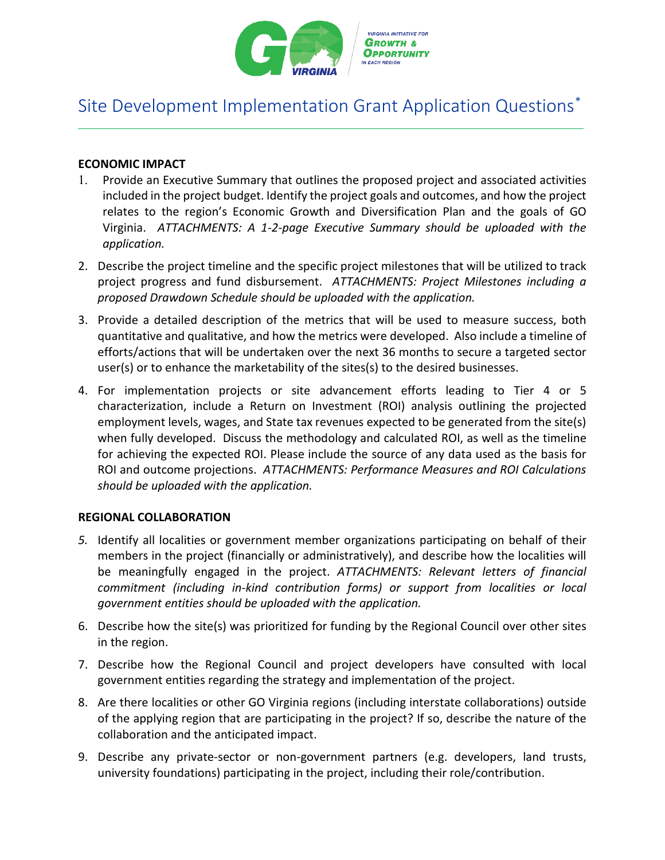

# Site Development Implementation Grant Application Questions[\\*](#page-5-0)

## **ECONOMIC IMPACT**

- 1. Provide an Executive Summary that outlines the proposed project and associated activities included in the project budget. Identify the project goals and outcomes, and how the project relates to the region's Economic Growth and Diversification Plan and the goals of GO Virginia. *ATTACHMENTS: A 1-2-page Executive Summary should be uploaded with the application.*
- 2. Describe the project timeline and the specific project milestones that will be utilized to track project progress and fund disbursement. *ATTACHMENTS: Project Milestones including a proposed Drawdown Schedule should be uploaded with the application.*
- 3. Provide a detailed description of the metrics that will be used to measure success, both quantitative and qualitative, and how the metrics were developed. Also include a timeline of efforts/actions that will be undertaken over the next 36 months to secure a targeted sector user(s) or to enhance the marketability of the sites(s) to the desired businesses.
- 4. For implementation projects or site advancement efforts leading to Tier 4 or 5 characterization, include a Return on Investment (ROI) analysis outlining the projected employment levels, wages, and State tax revenues expected to be generated from the site(s) when fully developed. Discuss the methodology and calculated ROI, as well as the timeline for achieving the expected ROI. Please include the source of any data used as the basis for ROI and outcome projections. *ATTACHMENTS: Performance Measures and ROI Calculations should be uploaded with the application.*

#### **REGIONAL COLLABORATION**

- *5.* Identify all localities or government member organizations participating on behalf of their members in the project (financially or administratively), and describe how the localities will be meaningfully engaged in the project. *ATTACHMENTS: Relevant letters of financial commitment (including in-kind contribution forms) or support from localities or local government entities should be uploaded with the application.*
- 6. Describe how the site(s) was prioritized for funding by the Regional Council over other sites in the region.
- 7. Describe how the Regional Council and project developers have consulted with local government entities regarding the strategy and implementation of the project.
- 8. Are there localities or other GO Virginia regions (including interstate collaborations) outside of the applying region that are participating in the project? If so, describe the nature of the collaboration and the anticipated impact.
- 9. Describe any private-sector or non-government partners (e.g. developers, land trusts, university foundations) participating in the project, including their role/contribution.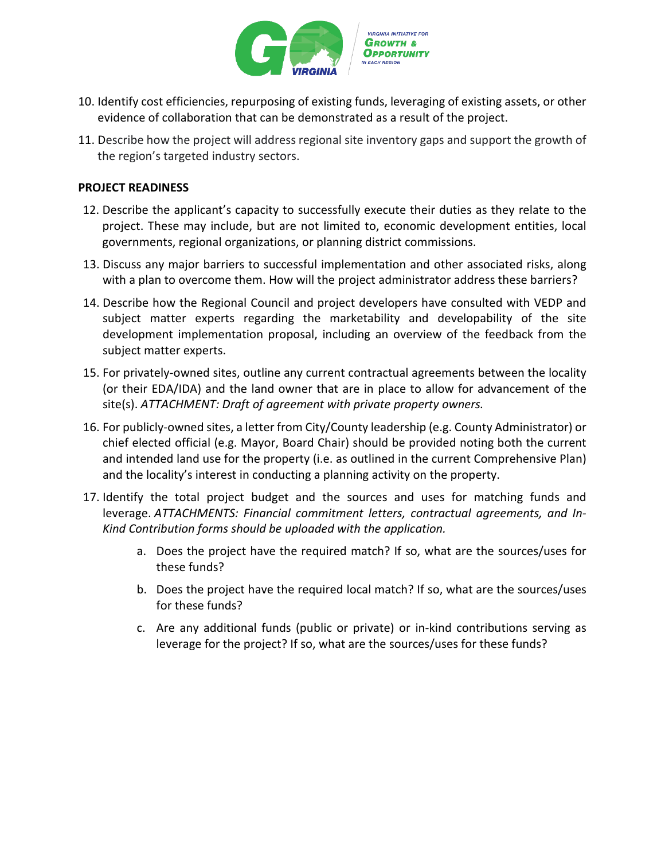

- 10. Identify cost efficiencies, repurposing of existing funds, leveraging of existing assets, or other evidence of collaboration that can be demonstrated as a result of the project.
- 11. Describe how the project will address regional site inventory gaps and support the growth of the region's targeted industry sectors.

#### **PROJECT READINESS**

- 12. Describe the applicant's capacity to successfully execute their duties as they relate to the project. These may include, but are not limited to, economic development entities, local governments, regional organizations, or planning district commissions.
- 13. Discuss any major barriers to successful implementation and other associated risks, along with a plan to overcome them. How will the project administrator address these barriers?
- 14. Describe how the Regional Council and project developers have consulted with VEDP and subject matter experts regarding the marketability and developability of the site development implementation proposal, including an overview of the feedback from the subject matter experts.
- 15. For privately-owned sites, outline any current contractual agreements between the locality (or their EDA/IDA) and the land owner that are in place to allow for advancement of the site(s). *ATTACHMENT: Draft of agreement with private property owners.*
- 16. For publicly-owned sites, a letter from City/County leadership (e.g. County Administrator) or chief elected official (e.g. Mayor, Board Chair) should be provided noting both the current and intended land use for the property (i.e. as outlined in the current Comprehensive Plan) and the locality's interest in conducting a planning activity on the property.
- 17. Identify the total project budget and the sources and uses for matching funds and leverage. *ATTACHMENTS: Financial commitment letters, contractual agreements, and In-Kind Contribution forms should be uploaded with the application.*
	- a. Does the project have the required match? If so, what are the sources/uses for these funds?
	- b. Does the project have the required local match? If so, what are the sources/uses for these funds?
	- c. Are any additional funds (public or private) or in-kind contributions serving as leverage for the project? If so, what are the sources/uses for these funds?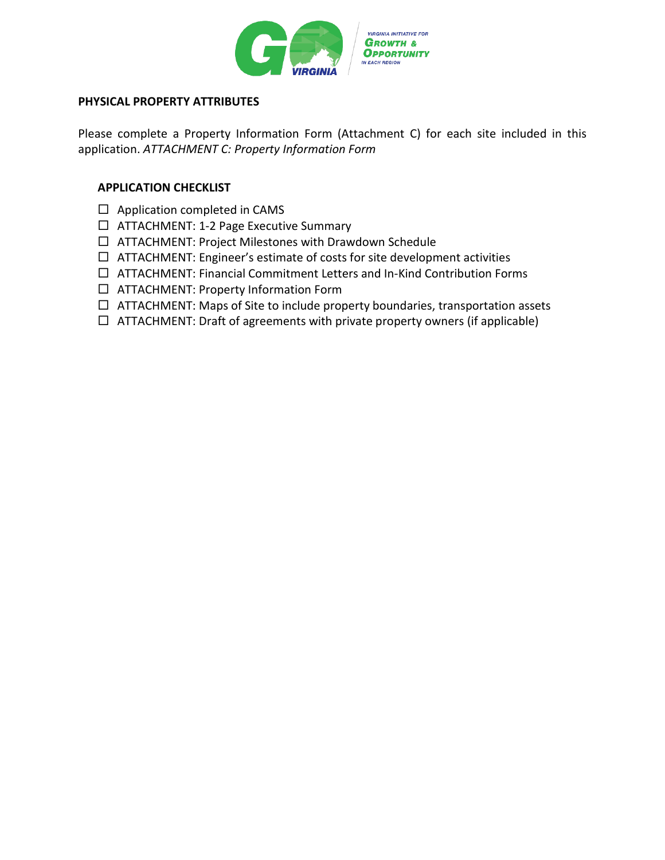

#### **PHYSICAL PROPERTY ATTRIBUTES**

Please complete a Property Information Form (Attachment C) for each site included in this application. *ATTACHMENT C: Property Information Form*

#### **APPLICATION CHECKLIST**

- $\Box$  Application completed in CAMS
- ATTACHMENT: 1-2 Page Executive Summary
- ATTACHMENT: Project Milestones with Drawdown Schedule
- $\Box$  ATTACHMENT: Engineer's estimate of costs for site development activities
- $\Box$  ATTACHMENT: Financial Commitment Letters and In-Kind Contribution Forms
- $\Box$  ATTACHMENT: Property Information Form
- $\Box$  ATTACHMENT: Maps of Site to include property boundaries, transportation assets
- $\Box$  ATTACHMENT: Draft of agreements with private property owners (if applicable)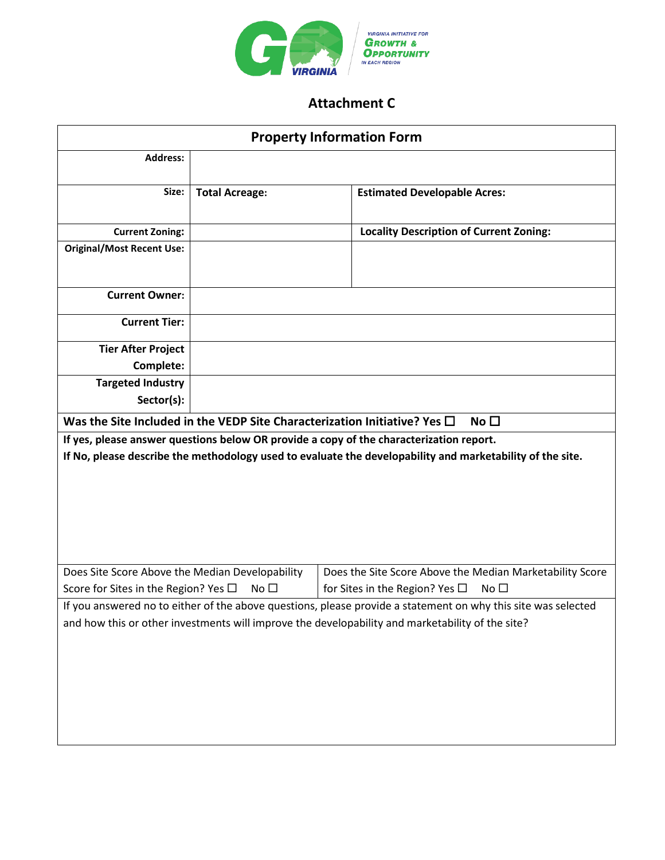

# **Attachment C**

| <b>Property Information Form</b>                                                                              |                       |                                                          |
|---------------------------------------------------------------------------------------------------------------|-----------------------|----------------------------------------------------------|
| <b>Address:</b>                                                                                               |                       |                                                          |
|                                                                                                               |                       |                                                          |
| Size:                                                                                                         | <b>Total Acreage:</b> | <b>Estimated Developable Acres:</b>                      |
| <b>Current Zoning:</b>                                                                                        |                       | <b>Locality Description of Current Zoning:</b>           |
| <b>Original/Most Recent Use:</b>                                                                              |                       |                                                          |
| <b>Current Owner:</b>                                                                                         |                       |                                                          |
| <b>Current Tier:</b>                                                                                          |                       |                                                          |
| <b>Tier After Project</b>                                                                                     |                       |                                                          |
| Complete:                                                                                                     |                       |                                                          |
| <b>Targeted Industry</b>                                                                                      |                       |                                                          |
| Sector(s):                                                                                                    |                       |                                                          |
| Was the Site Included in the VEDP Site Characterization Initiative? Yes $\square$<br>No $\square$             |                       |                                                          |
| If yes, please answer questions below OR provide a copy of the characterization report.                       |                       |                                                          |
| If No, please describe the methodology used to evaluate the developability and marketability of the site.     |                       |                                                          |
|                                                                                                               |                       |                                                          |
|                                                                                                               |                       |                                                          |
|                                                                                                               |                       |                                                          |
|                                                                                                               |                       |                                                          |
|                                                                                                               |                       |                                                          |
| Does Site Score Above the Median Developability                                                               |                       | Does the Site Score Above the Median Marketability Score |
| Score for Sites in the Region? Yes $\Box$<br>No $\square$                                                     |                       | for Sites in the Region? Yes $\Box$<br>No $\square$      |
| If you answered no to either of the above questions, please provide a statement on why this site was selected |                       |                                                          |
| and how this or other investments will improve the developability and marketability of the site?              |                       |                                                          |
|                                                                                                               |                       |                                                          |
|                                                                                                               |                       |                                                          |
|                                                                                                               |                       |                                                          |
|                                                                                                               |                       |                                                          |
|                                                                                                               |                       |                                                          |
|                                                                                                               |                       |                                                          |
|                                                                                                               |                       |                                                          |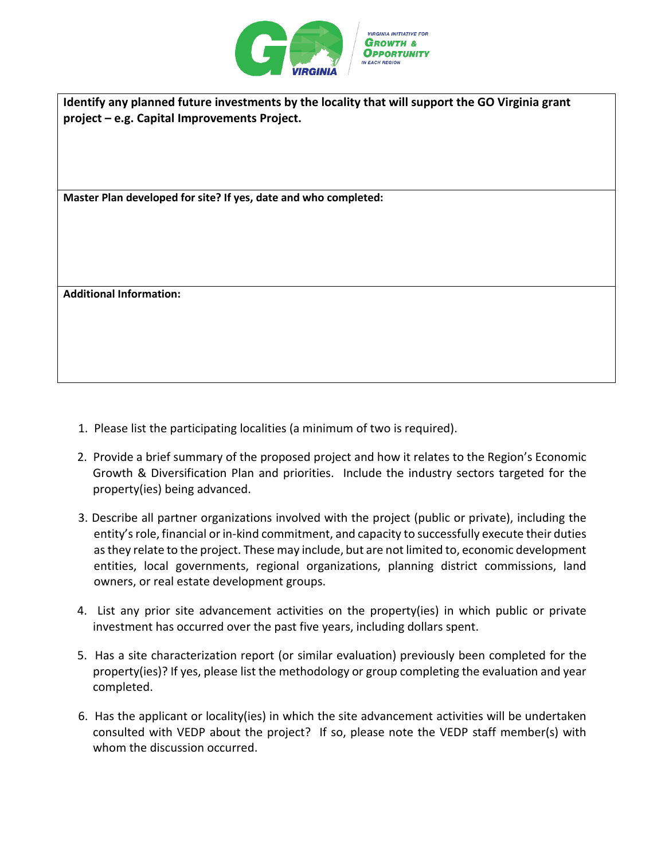

**Identify any planned future investments by the locality that will support the GO Virginia grant project – e.g. Capital Improvements Project.**

**Master Plan developed for site? If yes, date and who completed:**

**Additional Information:**

- 1. Please list the participating localities (a minimum of two is required).
- 2. Provide a brief summary of the proposed project and how it relates to the Region's Economic Growth & Diversification Plan and priorities. Include the industry sectors targeted for the property(ies) being advanced.
- 3. Describe all partner organizations involved with the project (public or private), including the entity's role, financial or in-kind commitment, and capacity to successfully execute their duties as they relate to the project. These may include, but are not limited to, economic development entities, local governments, regional organizations, planning district commissions, land owners, or real estate development groups.
- 4. List any prior site advancement activities on the property(ies) in which public or private investment has occurred over the past five years, including dollars spent.
- 5. Has a site characterization report (or similar evaluation) previously been completed for the property(ies)? If yes, please list the methodology or group completing the evaluation and year completed.
- 6. Has the applicant or locality(ies) in which the site advancement activities will be undertaken consulted with VEDP about the project? If so, please note the VEDP staff member(s) with whom the discussion occurred.